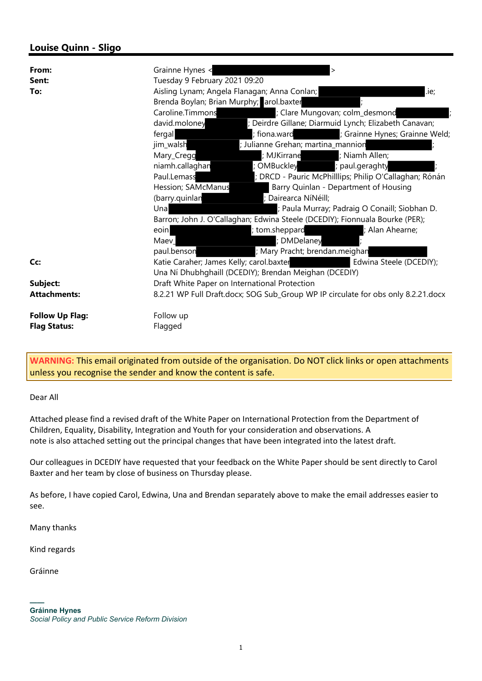## Louise Quinn - Sligo

| From:<br>Sent:<br>To:  | Grainne Hynes <<br>$\mathbf{L}$<br>Tuesday 9 February 2021 09:20<br>.ie;<br>Aisling Lynam; Angela Flanagan; Anna Conlan; |                                                        |
|------------------------|--------------------------------------------------------------------------------------------------------------------------|--------------------------------------------------------|
|                        | Brenda Boylan; Brian Murphy; arol.baxter                                                                                 |                                                        |
|                        | Caroline.Timmons                                                                                                         | ; Clare Mungovan; colm_desmond                         |
|                        | david.moloney                                                                                                            | ; Deirdre Gillane; Diarmuid Lynch; Elizabeth Canavan;  |
|                        | fergal                                                                                                                   | ; Grainne Hynes; Grainne Weld;<br>; fiona.ward         |
|                        | jim_walsh                                                                                                                | ; Julianne Grehan; martina_mannion                     |
|                        | Mary_Cregg                                                                                                               | ; Niamh Allen;<br>; MJKirrane                          |
|                        | niamh.callaghan                                                                                                          | OMBuckley<br>paul.geraghty                             |
|                        | Paul.Lemass                                                                                                              | ; DRCD - Pauric McPhilllips; Philip O'Callaghan; Rónán |
|                        | Hession; SAMcManus                                                                                                       | Barry Quinlan - Department of Housing                  |
|                        | (barry.quinlan                                                                                                           | ; Dairearca NíNéill;                                   |
|                        | Una                                                                                                                      | ; Paula Murray; Padraig O Conaill; Siobhan D.          |
|                        | Barron; John J. O'Callaghan; Edwina Steele (DCEDIY); Fionnuala Bourke (PER);                                             |                                                        |
|                        | eoin                                                                                                                     | ; tom.sheppard<br>Alan Ahearne;                        |
|                        | Maev                                                                                                                     | DMDelaney                                              |
|                        | paul.benson                                                                                                              | ; Mary Pracht; brendan.meighan                         |
| Cc:                    | Katie Caraher; James Kelly; carol.baxter<br>Edwina Steele (DCEDIY);                                                      |                                                        |
|                        | Una Ní Dhubhghaill (DCEDIY); Brendan Meighan (DCEDIY)                                                                    |                                                        |
| Subject:               | Draft White Paper on International Protection                                                                            |                                                        |
| <b>Attachments:</b>    | 8.2.21 WP Full Draft.docx; SOG Sub_Group WP IP circulate for obs only 8.2.21.docx                                        |                                                        |
| <b>Follow Up Flag:</b> | Follow up                                                                                                                |                                                        |
| <b>Flag Status:</b>    | Flagged                                                                                                                  |                                                        |

WARNING: This email originated from outside of the organisation. Do NOT click links or open attachments unless you recognise the sender and know the content is safe.

Dear All

Attached please find a revised draft of the White Paper on International Protection from the Department of Children, Equality, Disability, Integration and Youth for your consideration and observations. A note is also attached setting out the principal changes that have been integrated into the latest draft.

Our colleagues in DCEDIY have requested that your feedback on the White Paper should be sent directly to Carol Baxter and her team by close of business on Thursday please.

As before, I have copied Carol, Edwina, Una and Brendan separately above to make the email addresses easier to see.

Many thanks

Kind regards

Gráinne

<sup>——</sup>  Gráinne Hynes Social Policy and Public Service Reform Division